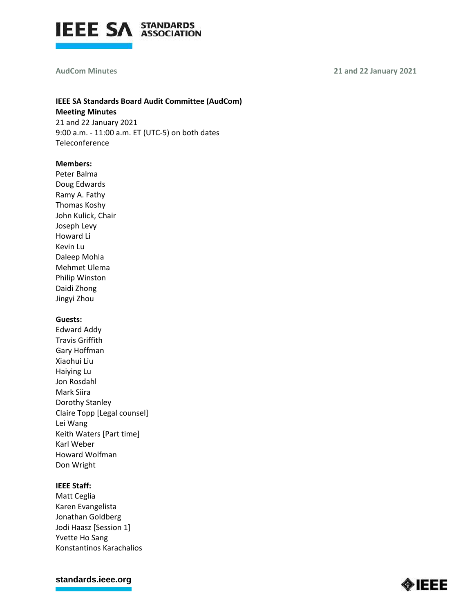

#### **AudCom Minutes**

#### **21 and 22 January 2021**

# **IEEE SA Standards Board Audit Committee (AudCom) Meeting Minutes**

21 and 22 January 2021 9:00 a.m. - 11:00 a.m. ET (UTC-5) on both dates Teleconference

#### **Members:**

Peter Balma Doug Edwards Ramy A. Fathy Thomas Koshy John Kulick, Chair Joseph Levy Howard Li Kevin Lu Daleep Mohla Mehmet Ulema Philip Winston Daidi Zhong Jingyi Zhou

## **Guests:**

Edward Addy Travis Griffith Gary Hoffman Xiaohui Liu Haiying Lu Jon Rosdahl Mark Siira Dorothy Stanley Claire Topp [Legal counsel] Lei Wang Keith Waters [Part time] Karl Weber Howard Wolfman Don Wright

# **IEEE Staff:**

Matt Ceglia Karen Evangelista Jonathan Goldberg Jodi Haasz [Session 1] Yvette Ho Sang Konstantinos Karachalios

**[standards.ieee.org](http://standards.ieee.org/)**

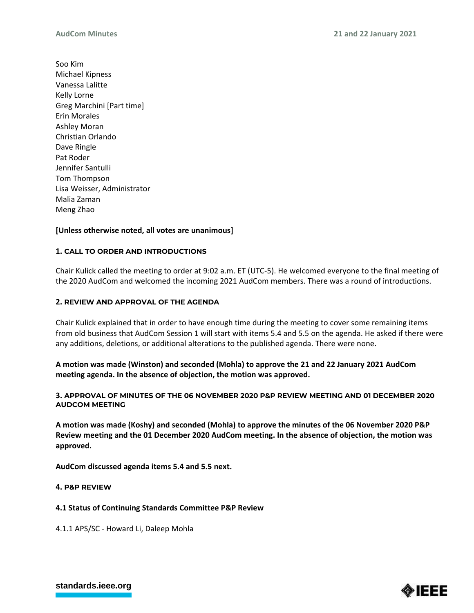Soo Kim Michael Kipness Vanessa Lalitte Kelly Lorne Greg Marchini [Part time] Erin Morales Ashley Moran Christian Orlando Dave Ringle Pat Roder Jennifer Santulli Tom Thompson Lisa Weisser, Administrator Malia Zaman Meng Zhao

# **[Unless otherwise noted, all votes are unanimous]**

## **1. CALL TO ORDER AND INTRODUCTIONS**

Chair Kulick called the meeting to order at 9:02 a.m. ET (UTC-5). He welcomed everyone to the final meeting of the 2020 AudCom and welcomed the incoming 2021 AudCom members. There was a round of introductions.

## **2. REVIEW AND APPROVAL OF THE AGENDA**

Chair Kulick explained that in order to have enough time during the meeting to cover some remaining items from old business that AudCom Session 1 will start with items 5.4 and 5.5 on the agenda. He asked if there were any additions, deletions, or additional alterations to the published agenda. There were none.

**A motion was made (Winston) and seconded (Mohla) to approve the 21 and 22 January 2021 AudCom meeting agenda. In the absence of objection, the motion was approved.**

### **3. APPROVAL OF MINUTES OF THE 06 NOVEMBER 2020 P&P REVIEW MEETING AND 01 DECEMBER 2020 AUDCOM MEETING**

**A motion was made (Koshy) and seconded (Mohla) to approve the minutes of the 06 November 2020 P&P Review meeting and the 01 December 2020 AudCom meeting. In the absence of objection, the motion was approved.**

**AudCom discussed agenda items 5.4 and 5.5 next.**

#### **4. P&P REVIEW**

## **4.1 Status of Continuing Standards Committee P&P Review**

4.1.1 APS/SC - Howard Li, Daleep Mohla

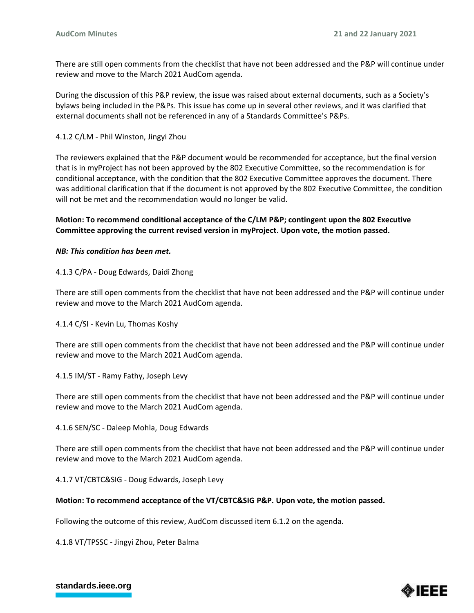There are still open comments from the checklist that have not been addressed and the P&P will continue under review and move to the March 2021 AudCom agenda.

During the discussion of this P&P review, the issue was raised about external documents, such as a Society's bylaws being included in the P&Ps. This issue has come up in several other reviews, and it was clarified that external documents shall not be referenced in any of a Standards Committee's P&Ps.

### 4.1.2 C/LM - Phil Winston, Jingyi Zhou

The reviewers explained that the P&P document would be recommended for acceptance, but the final version that is in myProject has not been approved by the 802 Executive Committee, so the recommendation is for conditional acceptance, with the condition that the 802 Executive Committee approves the document. There was additional clarification that if the document is not approved by the 802 Executive Committee, the condition will not be met and the recommendation would no longer be valid.

## **Motion: To recommend conditional acceptance of the C/LM P&P; contingent upon the 802 Executive Committee approving the current revised version in myProject. Upon vote, the motion passed.**

### *NB: This condition has been met.*

### 4.1.3 C/PA - Doug Edwards, Daidi Zhong

There are still open comments from the checklist that have not been addressed and the P&P will continue under review and move to the March 2021 AudCom agenda.

4.1.4 C/SI - Kevin Lu, Thomas Koshy

There are still open comments from the checklist that have not been addressed and the P&P will continue under review and move to the March 2021 AudCom agenda.

4.1.5 IM/ST - Ramy Fathy, Joseph Levy

There are still open comments from the checklist that have not been addressed and the P&P will continue under review and move to the March 2021 AudCom agenda.

#### 4.1.6 SEN/SC - Daleep Mohla, Doug Edwards

There are still open comments from the checklist that have not been addressed and the P&P will continue under review and move to the March 2021 AudCom agenda.

4.1.7 VT/CBTC&SIG - Doug Edwards, Joseph Levy

#### **Motion: To recommend acceptance of the VT/CBTC&SIG P&P. Upon vote, the motion passed.**

Following the outcome of this review, AudCom discussed item 6.1.2 on the agenda.

4.1.8 VT/TPSSC - Jingyi Zhou, Peter Balma



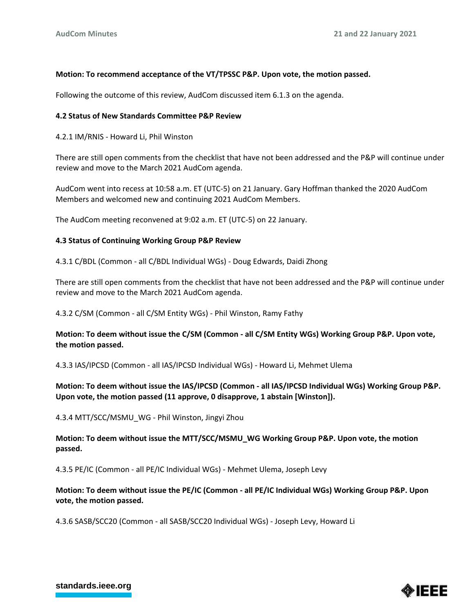### **Motion: To recommend acceptance of the VT/TPSSC P&P. Upon vote, the motion passed.**

Following the outcome of this review, AudCom discussed item 6.1.3 on the agenda.

#### **4.2 Status of New Standards Committee P&P Review**

4.2.1 IM/RNIS - Howard Li, Phil Winston

There are still open comments from the checklist that have not been addressed and the P&P will continue under review and move to the March 2021 AudCom agenda.

AudCom went into recess at 10:58 a.m. ET (UTC-5) on 21 January. Gary Hoffman thanked the 2020 AudCom Members and welcomed new and continuing 2021 AudCom Members.

The AudCom meeting reconvened at 9:02 a.m. ET (UTC-5) on 22 January.

#### **4.3 Status of Continuing Working Group P&P Review**

4.3.1 C/BDL (Common - all C/BDL Individual WGs) - Doug Edwards, Daidi Zhong

There are still open comments from the checklist that have not been addressed and the P&P will continue under review and move to the March 2021 AudCom agenda.

4.3.2 C/SM (Common - all C/SM Entity WGs) - Phil Winston, Ramy Fathy

## **Motion: To deem without issue the C/SM (Common - all C/SM Entity WGs) Working Group P&P. Upon vote, the motion passed.**

4.3.3 IAS/IPCSD (Common - all IAS/IPCSD Individual WGs) - Howard Li, Mehmet Ulema

## **Motion: To deem without issue the IAS/IPCSD (Common - all IAS/IPCSD Individual WGs) Working Group P&P. Upon vote, the motion passed (11 approve, 0 disapprove, 1 abstain [Winston]).**

4.3.4 MTT/SCC/MSMU\_WG - Phil Winston, Jingyi Zhou

**Motion: To deem without issue the MTT/SCC/MSMU\_WG Working Group P&P. Upon vote, the motion passed.**

4.3.5 PE/IC (Common - all PE/IC Individual WGs) - Mehmet Ulema, Joseph Levy

# **Motion: To deem without issue the PE/IC (Common - all PE/IC Individual WGs) Working Group P&P. Upon vote, the motion passed.**

4.3.6 SASB/SCC20 (Common - all SASB/SCC20 Individual WGs) - Joseph Levy, Howard Li

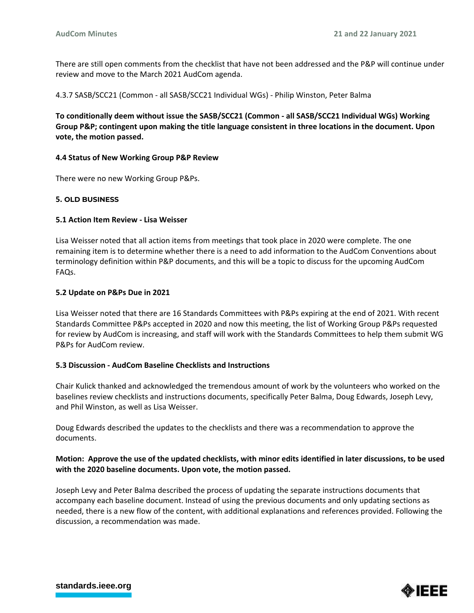There are still open comments from the checklist that have not been addressed and the P&P will continue under review and move to the March 2021 AudCom agenda.

4.3.7 SASB/SCC21 (Common - all SASB/SCC21 Individual WGs) - Philip Winston, Peter Balma

**To conditionally deem without issue the SASB/SCC21 (Common - all SASB/SCC21 Individual WGs) Working Group P&P; contingent upon making the title language consistent in three locations in the document. Upon vote, the motion passed.**

### **4.4 Status of New Working Group P&P Review**

There were no new Working Group P&Ps.

### **5. OLD BUSINESS**

### **5.1 Action Item Review - Lisa Weisser**

Lisa Weisser noted that all action items from meetings that took place in 2020 were complete. The one remaining item is to determine whether there is a need to add information to the AudCom Conventions about terminology definition within P&P documents, and this will be a topic to discuss for the upcoming AudCom FAQs.

### **5.2 Update on P&Ps Due in 2021**

Lisa Weisser noted that there are 16 Standards Committees with P&Ps expiring at the end of 2021. With recent Standards Committee P&Ps accepted in 2020 and now this meeting, the list of Working Group P&Ps requested for review by AudCom is increasing, and staff will work with the Standards Committees to help them submit WG P&Ps for AudCom review.

#### **5.3 Discussion - AudCom Baseline Checklists and Instructions**

Chair Kulick thanked and acknowledged the tremendous amount of work by the volunteers who worked on the baselines review checklists and instructions documents, specifically Peter Balma, Doug Edwards, Joseph Levy, and Phil Winston, as well as Lisa Weisser.

Doug Edwards described the updates to the checklists and there was a recommendation to approve the documents.

## **Motion: Approve the use of the updated checklists, with minor edits identified in later discussions, to be used with the 2020 baseline documents. Upon vote, the motion passed.**

Joseph Levy and Peter Balma described the process of updating the separate instructions documents that accompany each baseline document. Instead of using the previous documents and only updating sections as needed, there is a new flow of the content, with additional explanations and references provided. Following the discussion, a recommendation was made.



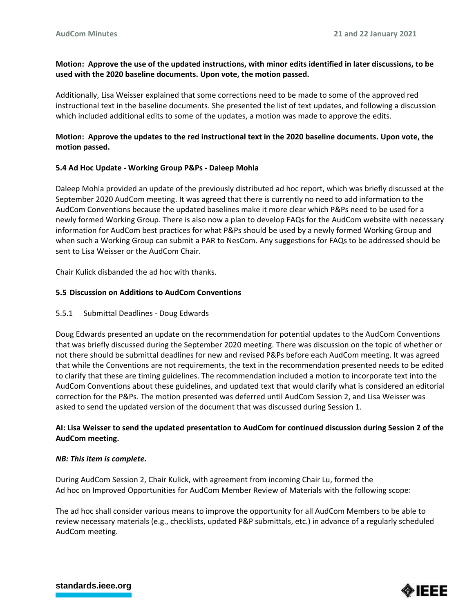# **Motion: Approve the use of the updated instructions, with minor edits identified in later discussions, to be used with the 2020 baseline documents. Upon vote, the motion passed.**

Additionally, Lisa Weisser explained that some corrections need to be made to some of the approved red instructional text in the baseline documents. She presented the list of text updates, and following a discussion which included additional edits to some of the updates, a motion was made to approve the edits.

# **Motion: Approve the updates to the red instructional text in the 2020 baseline documents. Upon vote, the motion passed.**

## **5.4 Ad Hoc Update - Working Group P&Ps - Daleep Mohla**

Daleep Mohla provided an update of the previously distributed ad hoc report, which was briefly discussed at the September 2020 AudCom meeting. It was agreed that there is currently no need to add information to the AudCom Conventions because the updated baselines make it more clear which P&Ps need to be used for a newly formed Working Group. There is also now a plan to develop FAQs for the AudCom website with necessary information for AudCom best practices for what P&Ps should be used by a newly formed Working Group and when such a Working Group can submit a PAR to NesCom. Any suggestions for FAQs to be addressed should be sent to Lisa Weisser or the AudCom Chair.

Chair Kulick disbanded the ad hoc with thanks.

## **5.5 Discussion on Additions to AudCom Conventions**

#### 5.5.1 Submittal Deadlines - Doug Edwards

Doug Edwards presented an update on the recommendation for potential updates to the AudCom Conventions that was briefly discussed during the September 2020 meeting. There was discussion on the topic of whether or not there should be submittal deadlines for new and revised P&Ps before each AudCom meeting. It was agreed that while the Conventions are not requirements, the text in the recommendation presented needs to be edited to clarify that these are timing guidelines. The recommendation included a motion to incorporate text into the AudCom Conventions about these guidelines, and updated text that would clarify what is considered an editorial correction for the P&Ps. The motion presented was deferred until AudCom Session 2, and Lisa Weisser was asked to send the updated version of the document that was discussed during Session 1.

# **AI: Lisa Weisser to send the updated presentation to AudCom for continued discussion during Session 2 of the AudCom meeting.**

#### *NB: This item is complete.*

During AudCom Session 2, Chair Kulick, with agreement from incoming Chair Lu, formed the Ad hoc on Improved Opportunities for AudCom Member Review of Materials with the following scope:

The ad hoc shall consider various means to improve the opportunity for all AudCom Members to be able to review necessary materials (e.g., checklists, updated P&P submittals, etc.) in advance of a regularly scheduled AudCom meeting.



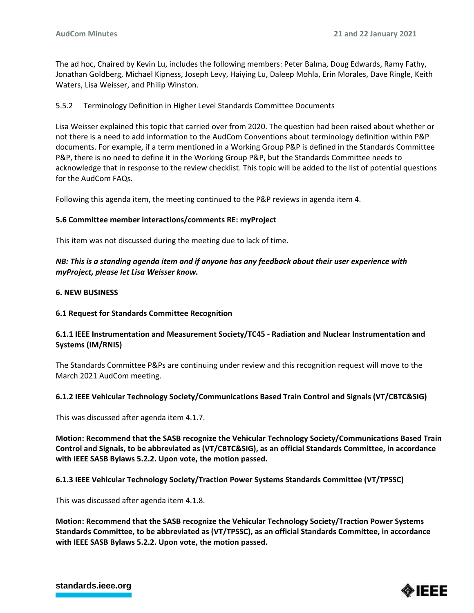The ad hoc, Chaired by Kevin Lu, includes the following members: Peter Balma, Doug Edwards, Ramy Fathy, Jonathan Goldberg, Michael Kipness, Joseph Levy, Haiying Lu, Daleep Mohla, Erin Morales, Dave Ringle, Keith Waters, Lisa Weisser, and Philip Winston.

# 5.5.2 Terminology Definition in Higher Level Standards Committee Documents

Lisa Weisser explained this topic that carried over from 2020. The question had been raised about whether or not there is a need to add information to the AudCom Conventions about terminology definition within P&P documents. For example, if a term mentioned in a Working Group P&P is defined in the Standards Committee P&P, there is no need to define it in the Working Group P&P, but the Standards Committee needs to acknowledge that in response to the review checklist. This topic will be added to the list of potential questions for the AudCom FAQs.

Following this agenda item, the meeting continued to the P&P reviews in agenda item 4.

### **5.6 Committee member interactions/comments RE: myProject**

This item was not discussed during the meeting due to lack of time.

# *NB: This is a standing agenda item and if anyone has any feedback about their user experience with myProject, please let Lisa Weisser know.*

### **6. NEW BUSINESS**

## **6.1 Request for Standards Committee Recognition**

# **6.1.1 IEEE Instrumentation and Measurement Society/TC45 - Radiation and Nuclear Instrumentation and Systems (IM/RNIS)**

The Standards Committee P&Ps are continuing under review and this recognition request will move to the March 2021 AudCom meeting.

#### **6.1.2 IEEE Vehicular Technology Society/Communications Based Train Control and Signals (VT/CBTC&SIG)**

This was discussed after agenda item 4.1.7.

**Motion: Recommend that the SASB recognize the Vehicular Technology Society/Communications Based Train Control and Signals, to be abbreviated as (VT/CBTC&SIG), as an official Standards Committee, in accordance with IEEE SASB Bylaws 5.2.2. Upon vote, the motion passed.** 

#### **6.1.3 IEEE Vehicular Technology Society/Traction Power Systems Standards Committee (VT/TPSSC)**

This was discussed after agenda item 4.1.8.

**Motion: Recommend that the SASB recognize the Vehicular Technology Society/Traction Power Systems Standards Committee, to be abbreviated as (VT/TPSSC), as an official Standards Committee, in accordance with IEEE SASB Bylaws 5.2.2. Upon vote, the motion passed.**